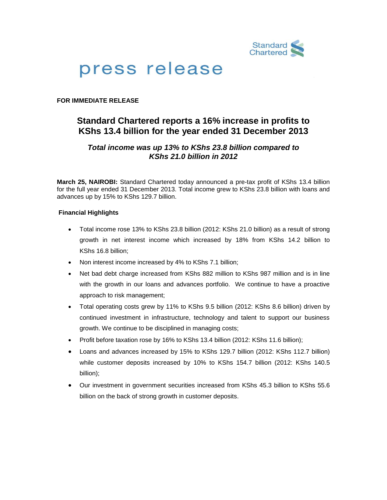

# press release

## **FOR IMMEDIATE RELEASE**

## **Standard Chartered reports a 16% increase in profits to KShs 13.4 billion for the year ended 31 December 2013**

## *Total income was up 13% to KShs 23.8 billion compared to KShs 21.0 billion in 2012*

**March 25, NAIROBI:** Standard Chartered today announced a pre-tax profit of KShs 13.4 billion for the full year ended 31 December 2013. Total income grew to KShs 23.8 billion with loans and advances up by 15% to KShs 129.7 billion.

### **Financial Highlights**

- Total income rose 13% to KShs 23.8 billion (2012: KShs 21.0 billion) as a result of strong growth in net interest income which increased by 18% from KShs 14.2 billion to KShs 16.8 billion;
- Non interest income increased by 4% to KShs 7.1 billion;
- Net bad debt charge increased from KShs 882 million to KShs 987 million and is in line with the growth in our loans and advances portfolio. We continue to have a proactive approach to risk management;
- Total operating costs grew by 11% to KShs 9.5 billion (2012: KShs 8.6 billion) driven by continued investment in infrastructure, technology and talent to support our business growth. We continue to be disciplined in managing costs;
- Profit before taxation rose by 16% to KShs 13.4 billion (2012: KShs 11.6 billion);
- Loans and advances increased by 15% to KShs 129.7 billion (2012: KShs 112.7 billion) while customer deposits increased by 10% to KShs 154.7 billion (2012: KShs 140.5 billion);
- Our investment in government securities increased from KShs 45.3 billion to KShs 55.6 billion on the back of strong growth in customer deposits.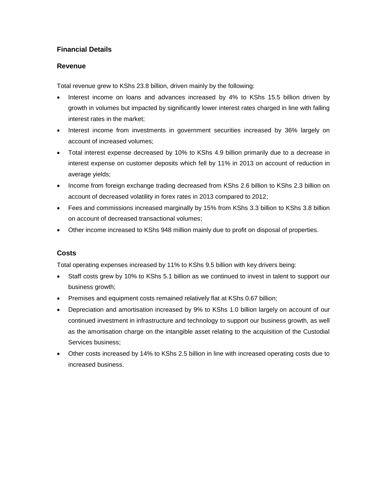## **Financial Details**

## **Revenue**

Total revenue grew to KShs 23.8 billion, driven mainly by the following:

- Interest income on loans and advances increased by 4% to KShs 15.5 billion driven by growth in volumes but impacted by significantly lower interest rates charged in line with falling interest rates in the market;
- Interest income from investments in government securities increased by 36% largely on account of increased volumes;
- Total interest expense decreased by 10% to KShs 4.9 billion primarily due to a decrease in interest expense on customer deposits which fell by 11% in 2013 on account of reduction in average yields;
- Income from foreign exchange trading decreased from KShs 2.6 billion to KShs 2.3 billion on account of decreased volatility in forex rates in 2013 compared to 2012;
- Fees and commissions increased marginally by 15% from KShs 3.3 billion to KShs 3.8 billion on account of decreased transactional volumes;
- Other income increased to KShs 948 million mainly due to profit on disposal of properties.

## **Costs**

Total operating expenses increased by 11% to KShs 9.5 billion with key drivers being:

- Staff costs grew by 10% to KShs 5.1 billion as we continued to invest in talent to support our business growth;
- Premises and equipment costs remained relatively flat at KShs 0.67 billion;
- Depreciation and amortisation increased by 9% to KShs 1.0 billion largely on account of our continued investment in infrastructure and technology to support our business growth, as well as the amortisation charge on the intangible asset relating to the acquisition of the Custodial Services business;
- Other costs increased by 14% to KShs 2.5 billion in line with increased operating costs due to increased business.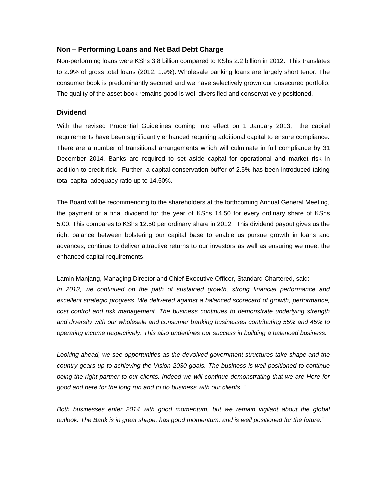### **Non – Performing Loans and Net Bad Debt Charge**

Non-performing loans were KShs 3.8 billion compared to KShs 2.2 billion in 2012**.** This translates to 2.9% of gross total loans (2012: 1.9%). Wholesale banking loans are largely short tenor. The consumer book is predominantly secured and we have selectively grown our unsecured portfolio. The quality of the asset book remains good is well diversified and conservatively positioned.

#### **Dividend**

With the revised Prudential Guidelines coming into effect on 1 January 2013, the capital requirements have been significantly enhanced requiring additional capital to ensure compliance. There are a number of transitional arrangements which will culminate in full compliance by 31 December 2014. Banks are required to set aside capital for operational and market risk in addition to credit risk. Further, a capital conservation buffer of 2.5% has been introduced taking total capital adequacy ratio up to 14.50%.

The Board will be recommending to the shareholders at the forthcoming Annual General Meeting, the payment of a final dividend for the year of KShs 14.50 for every ordinary share of KShs 5.00. This compares to KShs 12.50 per ordinary share in 2012. This dividend payout gives us the right balance between bolstering our capital base to enable us pursue growth in loans and advances, continue to deliver attractive returns to our investors as well as ensuring we meet the enhanced capital requirements.

Lamin Manjang, Managing Director and Chief Executive Officer, Standard Chartered, said: In 2013, we continued on the path of sustained growth, strong financial performance and *excellent strategic progress. We delivered against a balanced scorecard of growth, performance, cost control and risk management. The business continues to demonstrate underlying strength and diversity with our wholesale and consumer banking businesses contributing 55% and 45% to operating income respectively. This also underlines our success in building a balanced business.*

*Looking ahead, we see opportunities as the devolved government structures take shape and the country gears up to achieving the Vision 2030 goals. The business is well positioned to continue being the right partner to our clients. Indeed we will continue demonstrating that we are Here for good and here for the long run and to do business with our clients. "*

*Both businesses enter 2014 with good momentum, but we remain vigilant about the global outlook. The Bank is in great shape, has good momentum, and is well positioned for the future."*